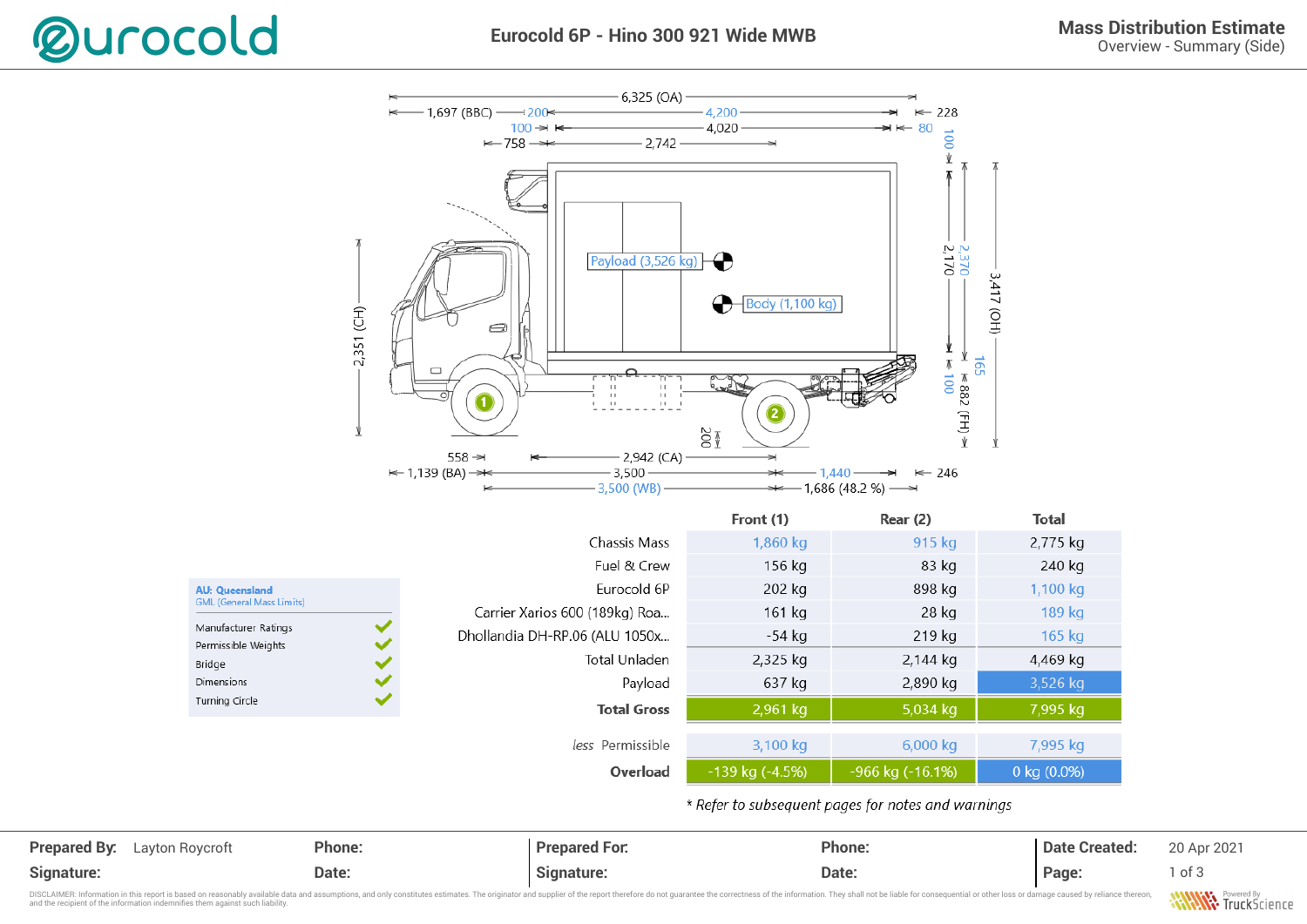

Overview - Summary (Side)



**Prepared By:** Layton Roycroft **Phone:** Phone: Prepared For: Phone: Phone: Phone: 20 Apr 2021 **Signature: Date: Signature: Date: Page:** 1 of 3

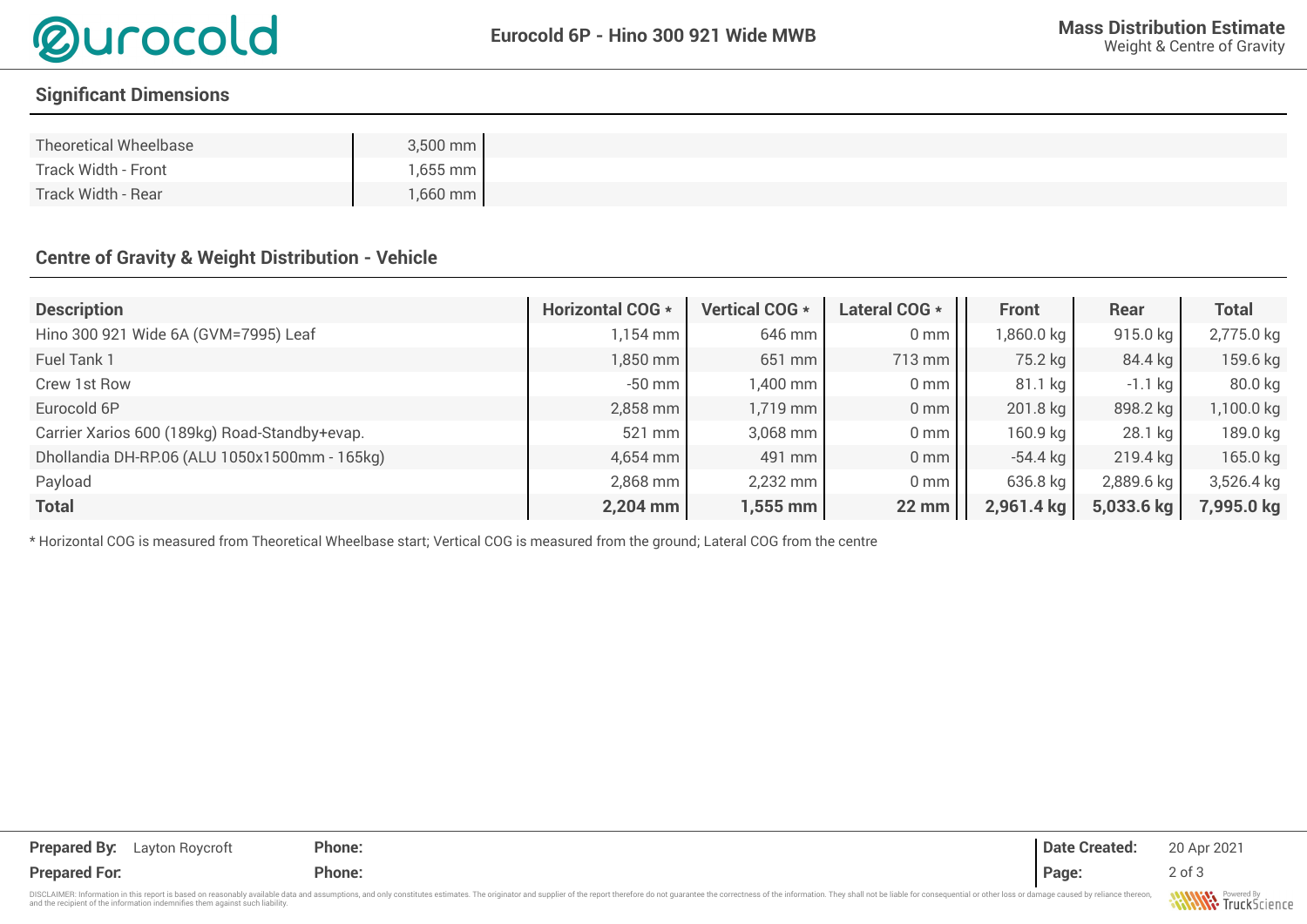

## **Signifcant Dimensions**

| Theoretical Wheelbase | $3,500$ mm         |
|-----------------------|--------------------|
| Track Width - Front   | 1,655 mm           |
| Track Width - Rear    | $1,660$ mm $\vert$ |

## **Centre of Gravity & Weight Distribution - Vehicle**

| <b>Description</b>                            | <b>Horizontal COG *</b> | Vertical COG * | Lateral COG *   | <b>Front</b> | Rear       | <b>Total</b> |
|-----------------------------------------------|-------------------------|----------------|-----------------|--------------|------------|--------------|
| Hino 300 921 Wide 6A (GVM=7995) Leaf          | $1,154$ mm              | 646 mm         | 0 <sub>mm</sub> | 1,860.0 kg   | 915.0 kg   | 2,775.0 kg   |
| Fuel Tank 1                                   | $1,850$ mm              | 651 mm         | 713 mm          | 75.2 kg      | 84.4 kg    | 159.6 kg     |
| Crew 1st Row                                  | $-50$ mm                | 1,400 mm       | 0 <sub>mm</sub> | $81.1$ kg    | $-1.1$ kg  | 80.0 kg      |
| Eurocold 6P                                   | $2,858$ mm              | 1,719 mm       | 0 <sub>mm</sub> | 201.8 kg     | 898.2 kg   | 1,100.0 kg   |
| Carrier Xarios 600 (189kg) Road-Standby+evap. | $521$ mm                | 3,068 mm       | 0 <sub>mm</sub> | 160.9 kg     | $28.1$ kg  | 189.0 kg     |
| Dhollandia DH-RP.06 (ALU 1050x1500mm - 165kg) | 4,654 mm                | 491 mm         | 0 <sub>mm</sub> | $-54.4$ kg   | 219.4 kg   | 165.0 kg     |
| Payload                                       | 2,868 mm                | 2,232 mm       | 0 <sub>mm</sub> | 636.8 kg     | 2,889.6 kg | 3,526.4 kg   |
| <b>Total</b>                                  | $2,204$ mm              | 1,555 mm       | <b>22 mm</b>    | 2,961.4 kg   | 5,033.6 kg | 7,995.0 kg   |

\* Horizontal COG is measured from Theoretical Wheelbase start; Vertical COG is measured from the ground; Lateral COG from the centre

| <b>Prepared By:</b><br>Layton Roycroft                                                                                                                                                                                         | Phone: | <b>Date Created:</b> | 20 Apr 2021         |
|--------------------------------------------------------------------------------------------------------------------------------------------------------------------------------------------------------------------------------|--------|----------------------|---------------------|
| <b>Prepared For.</b>                                                                                                                                                                                                           | Phone: | Page:                | $2$ of $3$          |
| DISCLAIMER: Information in this report is based on reasonably available data and assumptions, and only constitutes estimates. The originator and supplier of the report therefore do not quarantee the correctness of the info |        |                      | <b>ANAMAZAS</b> Por |